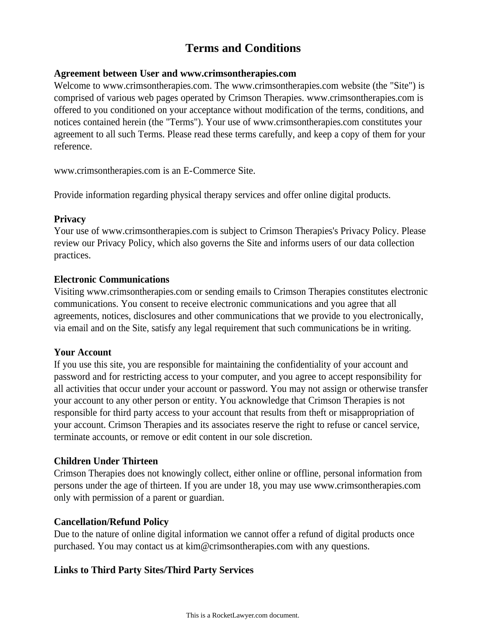# **Terms and Conditions**

#### **Agreement between User and www.crimsontherapies.com**

Welcome to www.crimsontherapies.com. The www.crimsontherapies.com website (the "Site") is comprised of various web pages operated by Crimson Therapies. www.crimsontherapies.com is offered to you conditioned on your acceptance without modification of the terms, conditions, and notices contained herein (the "Terms"). Your use of www.crimsontherapies.com constitutes your agreement to all such Terms. Please read these terms carefully, and keep a copy of them for your reference.

www.crimsontherapies.com is an E-Commerce Site.

Provide information regarding physical therapy services and offer online digital products.

#### **Privacy**

Your use of www.crimsontherapies.com is subject to Crimson Therapies's Privacy Policy. Please review our Privacy Policy, which also governs the Site and informs users of our data collection practices.

#### **Electronic Communications**

Visiting www.crimsontherapies.com or sending emails to Crimson Therapies constitutes electronic communications. You consent to receive electronic communications and you agree that all agreements, notices, disclosures and other communications that we provide to you electronically, via email and on the Site, satisfy any legal requirement that such communications be in writing.

## **Your Account**

If you use this site, you are responsible for maintaining the confidentiality of your account and password and for restricting access to your computer, and you agree to accept responsibility for all activities that occur under your account or password. You may not assign or otherwise transfer your account to any other person or entity. You acknowledge that Crimson Therapies is not responsible for third party access to your account that results from theft or misappropriation of your account. Crimson Therapies and its associates reserve the right to refuse or cancel service, terminate accounts, or remove or edit content in our sole discretion.

## **Children Under Thirteen**

Crimson Therapies does not knowingly collect, either online or offline, personal information from persons under the age of thirteen. If you are under 18, you may use www.crimsontherapies.com only with permission of a parent or guardian.

## **Cancellation/Refund Policy**

Due to the nature of online digital information we cannot offer a refund of digital products once purchased. You may contact us at kim@crimsontherapies.com with any questions.

## **Links to Third Party Sites/Third Party Services**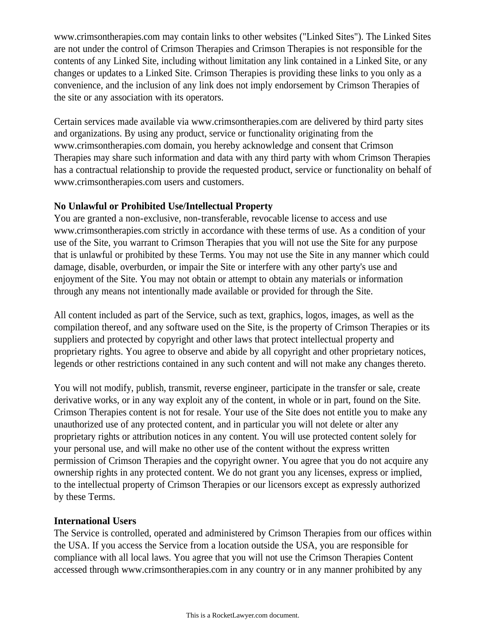www.crimsontherapies.com may contain links to other websites ("Linked Sites"). The Linked Sites are not under the control of Crimson Therapies and Crimson Therapies is not responsible for the contents of any Linked Site, including without limitation any link contained in a Linked Site, or any changes or updates to a Linked Site. Crimson Therapies is providing these links to you only as a convenience, and the inclusion of any link does not imply endorsement by Crimson Therapies of the site or any association with its operators.

Certain services made available via www.crimsontherapies.com are delivered by third party sites and organizations. By using any product, service or functionality originating from the www.crimsontherapies.com domain, you hereby acknowledge and consent that Crimson Therapies may share such information and data with any third party with whom Crimson Therapies has a contractual relationship to provide the requested product, service or functionality on behalf of www.crimsontherapies.com users and customers.

# **No Unlawful or Prohibited Use/Intellectual Property**

You are granted a non-exclusive, non-transferable, revocable license to access and use www.crimsontherapies.com strictly in accordance with these terms of use. As a condition of your use of the Site, you warrant to Crimson Therapies that you will not use the Site for any purpose that is unlawful or prohibited by these Terms. You may not use the Site in any manner which could damage, disable, overburden, or impair the Site or interfere with any other party's use and enjoyment of the Site. You may not obtain or attempt to obtain any materials or information through any means not intentionally made available or provided for through the Site.

All content included as part of the Service, such as text, graphics, logos, images, as well as the compilation thereof, and any software used on the Site, is the property of Crimson Therapies or its suppliers and protected by copyright and other laws that protect intellectual property and proprietary rights. You agree to observe and abide by all copyright and other proprietary notices, legends or other restrictions contained in any such content and will not make any changes thereto.

You will not modify, publish, transmit, reverse engineer, participate in the transfer or sale, create derivative works, or in any way exploit any of the content, in whole or in part, found on the Site. Crimson Therapies content is not for resale. Your use of the Site does not entitle you to make any unauthorized use of any protected content, and in particular you will not delete or alter any proprietary rights or attribution notices in any content. You will use protected content solely for your personal use, and will make no other use of the content without the express written permission of Crimson Therapies and the copyright owner. You agree that you do not acquire any ownership rights in any protected content. We do not grant you any licenses, express or implied, to the intellectual property of Crimson Therapies or our licensors except as expressly authorized by these Terms.

## **International Users**

The Service is controlled, operated and administered by Crimson Therapies from our offices within the USA. If you access the Service from a location outside the USA, you are responsible for compliance with all local laws. You agree that you will not use the Crimson Therapies Content accessed through www.crimsontherapies.com in any country or in any manner prohibited by any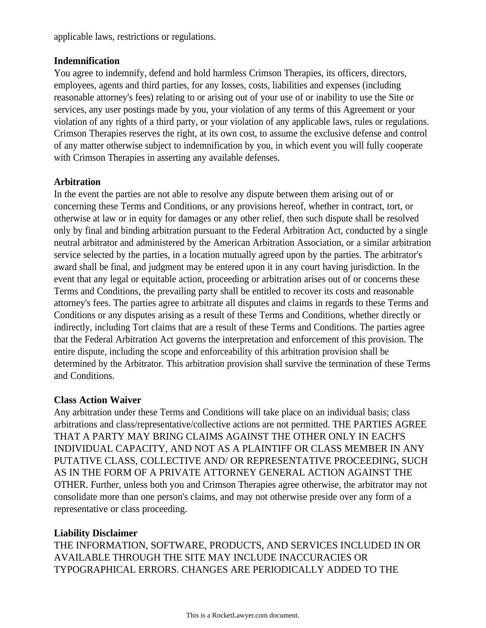applicable laws, restrictions or regulations.

#### **Indemnification**

You agree to indemnify, defend and hold harmless Crimson Therapies, its officers, directors, employees, agents and third parties, for any losses, costs, liabilities and expenses (including reasonable attorney's fees) relating to or arising out of your use of or inability to use the Site or services, any user postings made by you, your violation of any terms of this Agreement or your violation of any rights of a third party, or your violation of any applicable laws, rules or regulations. Crimson Therapies reserves the right, at its own cost, to assume the exclusive defense and control of any matter otherwise subject to indemnification by you, in which event you will fully cooperate with Crimson Therapies in asserting any available defenses.

## **Arbitration**

In the event the parties are not able to resolve any dispute between them arising out of or concerning these Terms and Conditions, or any provisions hereof, whether in contract, tort, or otherwise at law or in equity for damages or any other relief, then such dispute shall be resolved only by final and binding arbitration pursuant to the Federal Arbitration Act, conducted by a single neutral arbitrator and administered by the American Arbitration Association, or a similar arbitration service selected by the parties, in a location mutually agreed upon by the parties. The arbitrator's award shall be final, and judgment may be entered upon it in any court having jurisdiction. In the event that any legal or equitable action, proceeding or arbitration arises out of or concerns these Terms and Conditions, the prevailing party shall be entitled to recover its costs and reasonable attorney's fees. The parties agree to arbitrate all disputes and claims in regards to these Terms and Conditions or any disputes arising as a result of these Terms and Conditions, whether directly or indirectly, including Tort claims that are a result of these Terms and Conditions. The parties agree that the Federal Arbitration Act governs the interpretation and enforcement of this provision. The entire dispute, including the scope and enforceability of this arbitration provision shall be determined by the Arbitrator. This arbitration provision shall survive the termination of these Terms and Conditions.

## **Class Action Waiver**

Any arbitration under these Terms and Conditions will take place on an individual basis; class arbitrations and class/representative/collective actions are not permitted. THE PARTIES AGREE THAT A PARTY MAY BRING CLAIMS AGAINST THE OTHER ONLY IN EACH'S INDIVIDUAL CAPACITY, AND NOT AS A PLAINTIFF OR CLASS MEMBER IN ANY PUTATIVE CLASS, COLLECTIVE AND/ OR REPRESENTATIVE PROCEEDING, SUCH AS IN THE FORM OF A PRIVATE ATTORNEY GENERAL ACTION AGAINST THE OTHER. Further, unless both you and Crimson Therapies agree otherwise, the arbitrator may not consolidate more than one person's claims, and may not otherwise preside over any form of a representative or class proceeding.

## **Liability Disclaimer**

THE INFORMATION, SOFTWARE, PRODUCTS, AND SERVICES INCLUDED IN OR AVAILABLE THROUGH THE SITE MAY INCLUDE INACCURACIES OR TYPOGRAPHICAL ERRORS. CHANGES ARE PERIODICALLY ADDED TO THE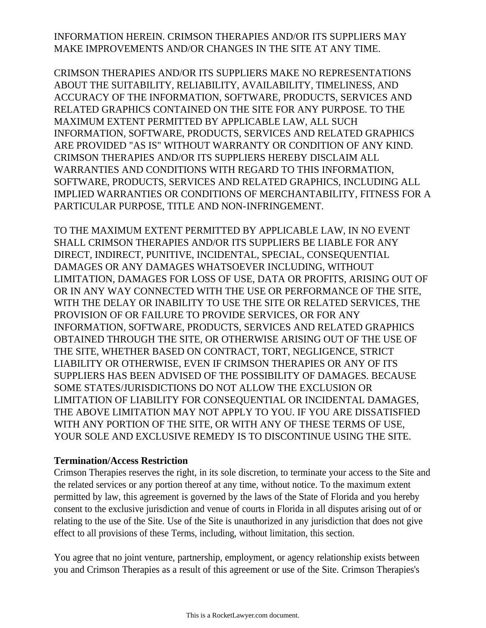INFORMATION HEREIN. CRIMSON THERAPIES AND/OR ITS SUPPLIERS MAY MAKE IMPROVEMENTS AND/OR CHANGES IN THE SITE AT ANY TIME.

CRIMSON THERAPIES AND/OR ITS SUPPLIERS MAKE NO REPRESENTATIONS ABOUT THE SUITABILITY, RELIABILITY, AVAILABILITY, TIMELINESS, AND ACCURACY OF THE INFORMATION, SOFTWARE, PRODUCTS, SERVICES AND RELATED GRAPHICS CONTAINED ON THE SITE FOR ANY PURPOSE. TO THE MAXIMUM EXTENT PERMITTED BY APPLICABLE LAW, ALL SUCH INFORMATION, SOFTWARE, PRODUCTS, SERVICES AND RELATED GRAPHICS ARE PROVIDED "AS IS" WITHOUT WARRANTY OR CONDITION OF ANY KIND. CRIMSON THERAPIES AND/OR ITS SUPPLIERS HEREBY DISCLAIM ALL WARRANTIES AND CONDITIONS WITH REGARD TO THIS INFORMATION, SOFTWARE, PRODUCTS, SERVICES AND RELATED GRAPHICS, INCLUDING ALL IMPLIED WARRANTIES OR CONDITIONS OF MERCHANTABILITY, FITNESS FOR A PARTICULAR PURPOSE, TITLE AND NON-INFRINGEMENT.

TO THE MAXIMUM EXTENT PERMITTED BY APPLICABLE LAW, IN NO EVENT SHALL CRIMSON THERAPIES AND/OR ITS SUPPLIERS BE LIABLE FOR ANY DIRECT, INDIRECT, PUNITIVE, INCIDENTAL, SPECIAL, CONSEQUENTIAL DAMAGES OR ANY DAMAGES WHATSOEVER INCLUDING, WITHOUT LIMITATION, DAMAGES FOR LOSS OF USE, DATA OR PROFITS, ARISING OUT OF OR IN ANY WAY CONNECTED WITH THE USE OR PERFORMANCE OF THE SITE, WITH THE DELAY OR INABILITY TO USE THE SITE OR RELATED SERVICES, THE PROVISION OF OR FAILURE TO PROVIDE SERVICES, OR FOR ANY INFORMATION, SOFTWARE, PRODUCTS, SERVICES AND RELATED GRAPHICS OBTAINED THROUGH THE SITE, OR OTHERWISE ARISING OUT OF THE USE OF THE SITE, WHETHER BASED ON CONTRACT, TORT, NEGLIGENCE, STRICT LIABILITY OR OTHERWISE, EVEN IF CRIMSON THERAPIES OR ANY OF ITS SUPPLIERS HAS BEEN ADVISED OF THE POSSIBILITY OF DAMAGES. BECAUSE SOME STATES/JURISDICTIONS DO NOT ALLOW THE EXCLUSION OR LIMITATION OF LIABILITY FOR CONSEQUENTIAL OR INCIDENTAL DAMAGES, THE ABOVE LIMITATION MAY NOT APPLY TO YOU. IF YOU ARE DISSATISFIED WITH ANY PORTION OF THE SITE, OR WITH ANY OF THESE TERMS OF USE, YOUR SOLE AND EXCLUSIVE REMEDY IS TO DISCONTINUE USING THE SITE.

#### **Termination/Access Restriction**

Crimson Therapies reserves the right, in its sole discretion, to terminate your access to the Site and the related services or any portion thereof at any time, without notice. To the maximum extent permitted by law, this agreement is governed by the laws of the State of Florida and you hereby consent to the exclusive jurisdiction and venue of courts in Florida in all disputes arising out of or relating to the use of the Site. Use of the Site is unauthorized in any jurisdiction that does not give effect to all provisions of these Terms, including, without limitation, this section.

You agree that no joint venture, partnership, employment, or agency relationship exists between you and Crimson Therapies as a result of this agreement or use of the Site. Crimson Therapies's